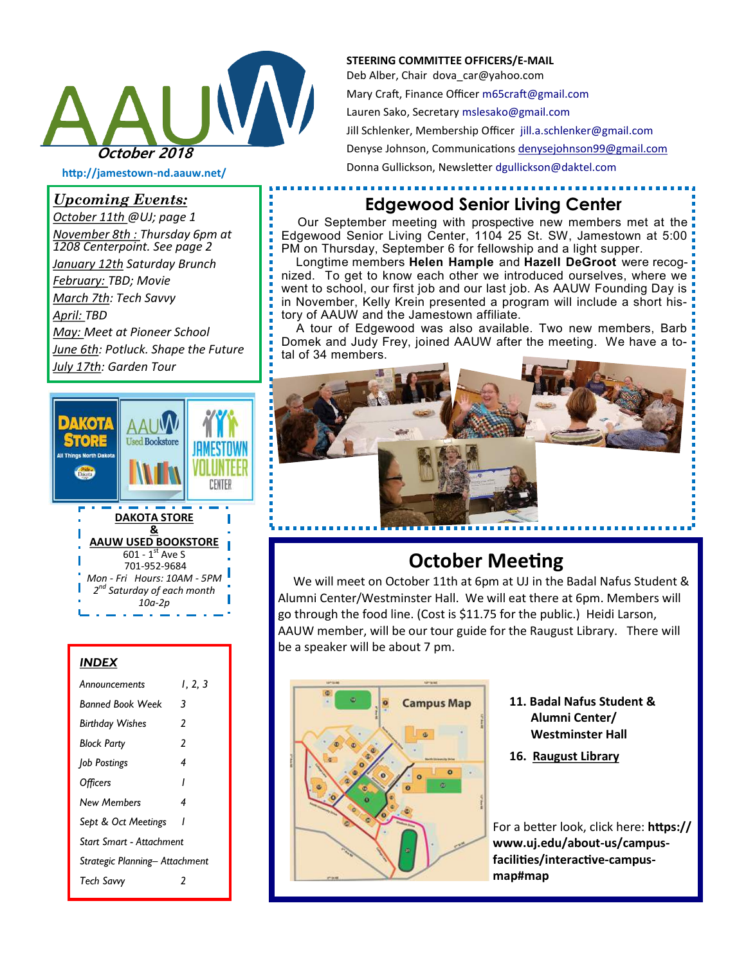

**http://jamestown-nd.aauw.net/** 

#### *Upcoming Events:*

*October 11th @UJ; page 1 November 8th : Thursday 6pm at 1208 Centerpoint. See page 2 January 12th Saturday Brunch February: TBD; Movie March 7th: Tech Savvy April: TBD May: Meet at Pioneer School June 6th: Potluck. Shape the Future July 17th: Garden Tour*



#### *INDEX*

| Announcements                  | l. 2. 3 |
|--------------------------------|---------|
| <b>Banned Book Week</b>        | 3       |
| <b>Birthday Wishes</b>         | 2       |
| <b>Block Party</b>             | 2       |
| Job Postings                   | 4       |
| <b>Officers</b>                | ı       |
| New Members                    | 4       |
| Sept & Oct Meetings            |         |
| Start Smart - Attachment       |         |
| Strategic Planning- Attachment |         |
| <b>Tech Savvy</b>              | 7       |

#### **STEERING COMMITTEE OFFICERS/E-MAIL**

Deb Alber, Chair dova car@yahoo.com Mary Craft, Finance Officer [m65craft@gmail.com](mailto:m65craft@gmail.com) Lauren Sako, Secretary [mslesako@gmail.com](mailto:mslesako@gmail.com) Jill Schlenker, Membership Officer [jill.a.schlenker@gmail.com](mailto:jill.a.schlenker@gmail.com) Denyse Johnson, Communications [denysejohnson99@gmail.com](mailto:denysejohnson99@gmail.com) Donna Gullickson, Newsletter [dgullickson@daktel.com](mailto:dgullickson@daktel.com)

### **Edgewood Senior Living Center**

Our September meeting with prospective new members met at the Edgewood Senior Living Center, 1104 25 St. SW, Jamestown at 5:00 PM on Thursday, September 6 for fellowship and a light supper.

 Longtime members **Helen Hample** and **Hazell DeGroot** were recognized. To get to know each other we introduced ourselves, where we went to school, our first job and our last job. As AAUW Founding Day is in November, Kelly Krein presented a program will include a short history of AAUW and the Jamestown affiliate.

 A tour of Edgewood was also available. Two new members, Barb Domek and Judy Frey, joined AAUW after the meeting. We have a total of 34 members.



### **October Meeting**

We will meet on October 11th at 6pm at UJ in the Badal Nafus Student & Alumni Center/Westminster Hall. We will eat there at 6pm. Members will go through the food line. (Cost is \$11.75 for the public.) Heidi Larson, AAUW member, will be our tour guide for the Raugust Library. There will be a speaker will be about 7 pm.



- **11. Badal Nafus Student & Alumni Center/ Westminster Hall**
- **16. [Raugust Library](https://www.uj.edu/about-us/campus-facilities/interactive-campus-map#map)**

For a better look, click here: **https:// www.uj.edu/about-us/campusfacilities/interactive-campusmap#map**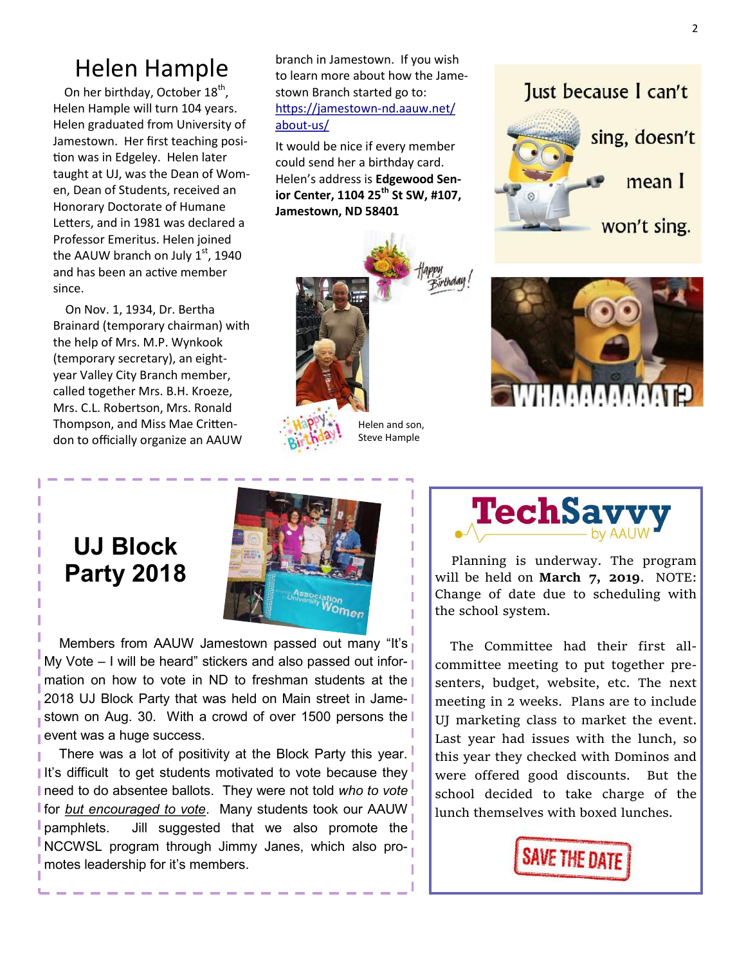## Helen Hample

On her birthday, October 18<sup>th</sup>, Helen Hample will turn 104 years. Helen graduated from University of Jamestown. Her first teaching position was in Edgeley. Helen later taught at UJ, was the Dean of Women, Dean of Students, received an Honorary Doctorate of Humane Letters, and in 1981 was declared a Professor Emeritus. Helen joined the AAUW branch on July  $1<sup>st</sup>$ , 1940 and has been an active member since.

 On Nov. 1, 1934, Dr. Bertha Brainard (temporary chairman) with the help of Mrs. M.P. Wynkook (temporary secretary), an eightyear Valley City Branch member, called together Mrs. B.H. Kroeze, Mrs. C.L. Robertson, Mrs. Ronald Thompson, and Miss Mae Crittendon to officially organize an AAUW

branch in Jamestown. If you wish to learn more about how the Jamestown Branch started go to: [https://jamestown](https://jamestown-nd.aauw.net/about-us/)-nd.aauw.net/ [about](https://jamestown-nd.aauw.net/about-us/)-us/

It would be nice if every member could send her a birthday card. Helen's address is **Edgewood Senior Center, 1104 25th St SW, #107, Jamestown, ND 58401** 



Steve Hample





## **UJ Block Party 2018**



Members from AAUW Jamestown passed out many "It's My Vote  $-1$  will be heard" stickers and also passed out information on how to vote in ND to freshman students at the 2018 UJ Block Party that was held on Main street in Jamestown on Aug. 30. With a crowd of over 1500 persons the event was a huge success.

There was a lot of positivity at the Block Party this year. It's difficult to get students motivated to vote because they need to do absentee ballots. They were not told *who to vote*  for *but encouraged to vote*. Many students took our AAUW pamphlets. Jill suggested that we also promote the NCCWSL program through Jimmy Janes, which also promotes leadership for it's members.



 Planning is underway. The program will be held on **March 7, 2019**. NOTE: Change of date due to scheduling with the school system.

 The Committee had their first allcommittee meeting to put together presenters, budget, website, etc. The next meeting in 2 weeks. Plans are to include UJ marketing class to market the event. Last year had issues with the lunch, so this year they checked with Dominos and were offered good discounts. But the school decided to take charge of the lunch themselves with boxed lunches.

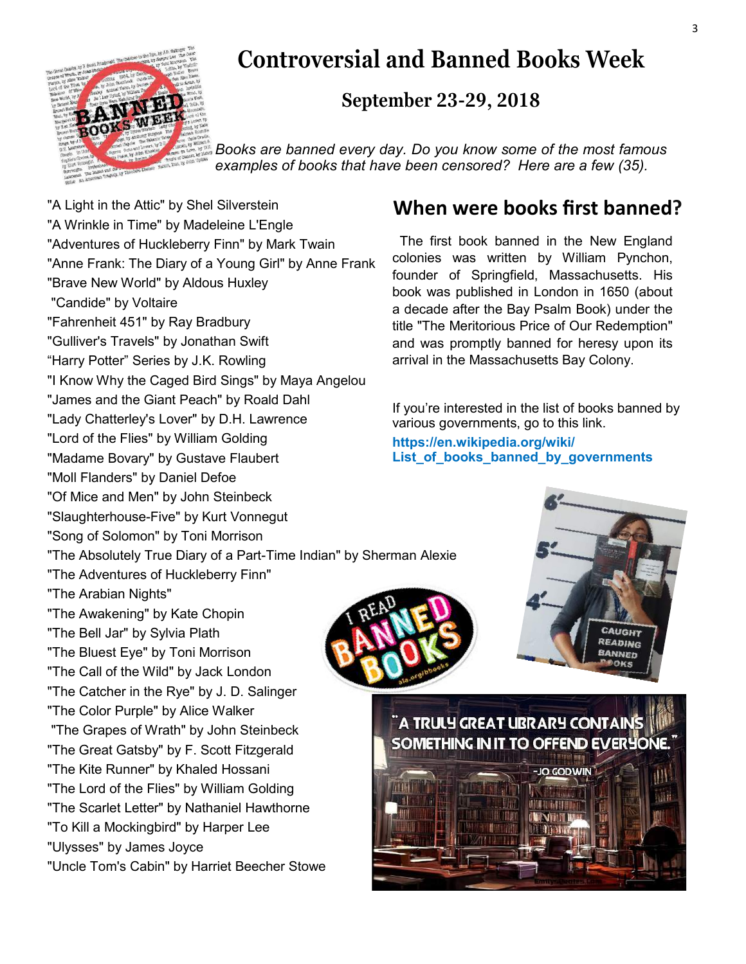

# **Controversial and Banned Books Week**

### **September 23-29, 2018**

*Books are banned every day. Do you know some of the most famous examples of books that have been censored? Here are a few (35).*

"A Light in the Attic" by Shel Silverstein "A Wrinkle in Time" by Madeleine L'Engle "Adventures of Huckleberry Finn" by Mark Twain "Anne Frank: The Diary of a Young Girl" by Anne Frank "Brave New World" by Aldous Huxley "Candide" by Voltaire "Fahrenheit 451" by Ray Bradbury "Gulliver's Travels" by Jonathan Swift "Harry Potter" Series by J.K. Rowling "I Know Why the Caged Bird Sings" by Maya Angelou "James and the Giant Peach" by Roald Dahl "Lady Chatterley's Lover" by D.H. Lawrence "Lord of the Flies" by William Golding "Madame Bovary" by Gustave Flaubert "Moll Flanders" by Daniel Defoe "Of Mice and Men" by John Steinbeck "Slaughterhouse-Five" by Kurt Vonnegut "Song of Solomon" by Toni Morrison "The Absolutely True Diary of a Part-Time Indian" by Sherman Alexie "The Adventures of Huckleberry Finn" "The Arabian Nights" "The Awakening" by Kate Chopin "The Bell Jar" by Sylvia Plath "The Bluest Eye" by Toni Morrison "The Call of the Wild" by Jack London "The Catcher in the Rye" by J. D. Salinger "The Color Purple" by Alice Walker "The Grapes of Wrath" by John Steinbeck "The Great Gatsby" by F. Scott Fitzgerald "The Kite Runner" by Khaled Hossani "The Lord of the Flies" by William Golding "The Scarlet Letter" by Nathaniel Hawthorne "To Kill a Mockingbird" by Harper Lee "Ulysses" by James Joyce "Uncle Tom's Cabin" by Harriet Beecher Stowe

### **When were books first banned?**

 The first book banned in the New England colonies was written by William Pynchon, founder of Springfield, Massachusetts. His book was published in London in 1650 (about a decade after the Bay Psalm Book) under the title "The Meritorious Price of Our Redemption" and was promptly banned for heresy upon its arrival in the Massachusetts Bay Colony.

If you're interested in the list of books banned by various governments, go to this link.

#### **https://en.wikipedia.org/wiki/ List\_of\_books\_banned\_by\_governments**